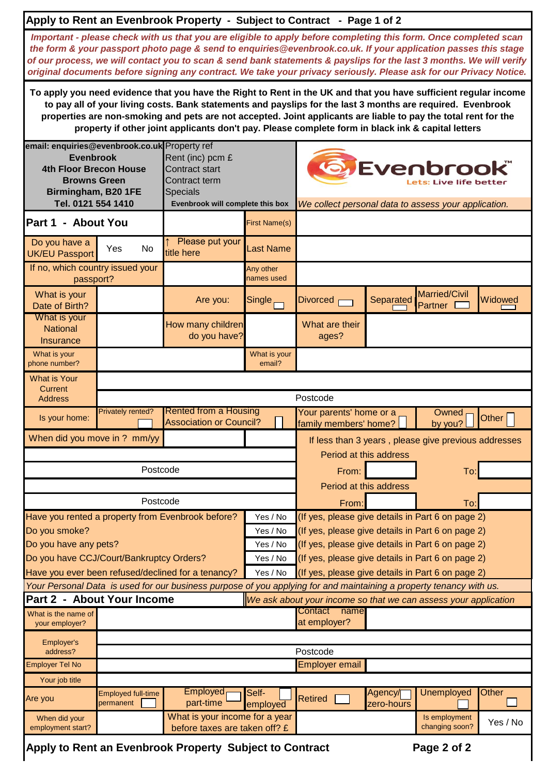|                                                                                                                                                                        |                                                   | Apply to Rent an Evenbrook Property - Subject to Contract - Page 1 of 2                                                                                                                                                                                                                                                                                                                                                                                                         |                                                                                                                                                                          |                                                                                                      |                        |                                                      |          |  |  |  |
|------------------------------------------------------------------------------------------------------------------------------------------------------------------------|---------------------------------------------------|---------------------------------------------------------------------------------------------------------------------------------------------------------------------------------------------------------------------------------------------------------------------------------------------------------------------------------------------------------------------------------------------------------------------------------------------------------------------------------|--------------------------------------------------------------------------------------------------------------------------------------------------------------------------|------------------------------------------------------------------------------------------------------|------------------------|------------------------------------------------------|----------|--|--|--|
|                                                                                                                                                                        |                                                   | Important - please check with us that you are eligible to apply before completing this form. Once completed scan<br>the form & your passport photo page & send to enquiries@evenbrook.co.uk. If your application passes this stage<br>of our process, we will contact you to scan & send bank statements & payslips for the last 3 months. We will verify<br>original documents before signing any contract. We take your privacy seriously. Please ask for our Privacy Notice. |                                                                                                                                                                          |                                                                                                      |                        |                                                      |          |  |  |  |
|                                                                                                                                                                        |                                                   | To apply you need evidence that you have the Right to Rent in the UK and that you have sufficient regular income<br>to pay all of your living costs. Bank statements and payslips for the last 3 months are required. Evenbrook<br>properties are non-smoking and pets are not accepted. Joint applicants are liable to pay the total rent for the<br>property if other joint applicants don't pay. Please complete form in black ink & capital letters                         |                                                                                                                                                                          |                                                                                                      |                        |                                                      |          |  |  |  |
| email: enquiries@evenbrook.co.uk Property ref<br><b>Evenbrook</b><br><b>4th Floor Brecon House</b><br><b>Browns Green</b><br>Birmingham, B20 1FE<br>Tel. 0121 554 1410 |                                                   | Rent (inc) pcm £<br><b>Contract start</b><br>Contract term<br><b>Specials</b><br>Evenbrook will complete this box                                                                                                                                                                                                                                                                                                                                                               |                                                                                                                                                                          | <b>O</b> Evenbrook®<br>ets: Live life better<br>We collect personal data to assess your application. |                        |                                                      |          |  |  |  |
| Part 1 - About You                                                                                                                                                     |                                                   |                                                                                                                                                                                                                                                                                                                                                                                                                                                                                 | <b>First Name(s)</b>                                                                                                                                                     |                                                                                                      |                        |                                                      |          |  |  |  |
| Do you have a<br><b>UK/EU Passport</b>                                                                                                                                 | Yes<br>No                                         | Please put your<br>title here                                                                                                                                                                                                                                                                                                                                                                                                                                                   | <b>Last Name</b>                                                                                                                                                         |                                                                                                      |                        |                                                      |          |  |  |  |
| If no, which country issued your<br>passport?                                                                                                                          |                                                   |                                                                                                                                                                                                                                                                                                                                                                                                                                                                                 | Any other<br>names used                                                                                                                                                  |                                                                                                      |                        |                                                      |          |  |  |  |
| What is your<br>Date of Birth?                                                                                                                                         |                                                   | Are you:                                                                                                                                                                                                                                                                                                                                                                                                                                                                        | Single <sub>[7]</sub>                                                                                                                                                    | Divorced <sub>r</sub>                                                                                | Separated              | Married/Civil<br>Partner                             | Widowed  |  |  |  |
| What is your<br><b>National</b><br><b>Insurance</b>                                                                                                                    |                                                   | How many children<br>do you have?                                                                                                                                                                                                                                                                                                                                                                                                                                               |                                                                                                                                                                          | What are their<br>ages?                                                                              |                        |                                                      |          |  |  |  |
| What is your<br>phone number?                                                                                                                                          |                                                   |                                                                                                                                                                                                                                                                                                                                                                                                                                                                                 | What is your<br>email?                                                                                                                                                   |                                                                                                      |                        |                                                      |          |  |  |  |
| <b>What is Your</b><br>Current                                                                                                                                         |                                                   |                                                                                                                                                                                                                                                                                                                                                                                                                                                                                 |                                                                                                                                                                          |                                                                                                      |                        |                                                      |          |  |  |  |
| <b>Address</b>                                                                                                                                                         | Postcode                                          |                                                                                                                                                                                                                                                                                                                                                                                                                                                                                 |                                                                                                                                                                          |                                                                                                      |                        |                                                      |          |  |  |  |
| Is your home:                                                                                                                                                          | <b>Privately rented?</b>                          | <b>Rented from a Housing</b><br><b>Association or Council?</b>                                                                                                                                                                                                                                                                                                                                                                                                                  |                                                                                                                                                                          | Your parents' home or a<br>Owned<br>Other  <br>family members' home?<br>by you?                      |                        |                                                      |          |  |  |  |
| When did you move in ? mm/yy                                                                                                                                           |                                                   |                                                                                                                                                                                                                                                                                                                                                                                                                                                                                 |                                                                                                                                                                          |                                                                                                      |                        | If less than 3 years, please give previous addresses |          |  |  |  |
|                                                                                                                                                                        |                                                   |                                                                                                                                                                                                                                                                                                                                                                                                                                                                                 |                                                                                                                                                                          |                                                                                                      | Period at this address |                                                      |          |  |  |  |
|                                                                                                                                                                        | From:                                             |                                                                                                                                                                                                                                                                                                                                                                                                                                                                                 | To:                                                                                                                                                                      |                                                                                                      |                        |                                                      |          |  |  |  |
|                                                                                                                                                                        |                                                   |                                                                                                                                                                                                                                                                                                                                                                                                                                                                                 |                                                                                                                                                                          | Period at this address                                                                               |                        |                                                      |          |  |  |  |
|                                                                                                                                                                        |                                                   | From:                                                                                                                                                                                                                                                                                                                                                                                                                                                                           |                                                                                                                                                                          | To:                                                                                                  |                        |                                                      |          |  |  |  |
| Have you rented a property from Evenbrook before?                                                                                                                      |                                                   | Yes / No                                                                                                                                                                                                                                                                                                                                                                                                                                                                        | (If yes, please give details in Part 6 on page 2)                                                                                                                        |                                                                                                      |                        |                                                      |          |  |  |  |
| Do you smoke?                                                                                                                                                          |                                                   | Yes / No                                                                                                                                                                                                                                                                                                                                                                                                                                                                        | (If yes, please give details in Part 6 on page 2)                                                                                                                        |                                                                                                      |                        |                                                      |          |  |  |  |
| Do you have any pets?<br>Yes / No<br>Do you have CCJ/Court/Bankruptcy Orders?<br>Yes / No                                                                              |                                                   |                                                                                                                                                                                                                                                                                                                                                                                                                                                                                 |                                                                                                                                                                          | (If yes, please give details in Part 6 on page 2)                                                    |                        |                                                      |          |  |  |  |
|                                                                                                                                                                        | (If yes, please give details in Part 6 on page 2) |                                                                                                                                                                                                                                                                                                                                                                                                                                                                                 |                                                                                                                                                                          |                                                                                                      |                        |                                                      |          |  |  |  |
|                                                                                                                                                                        |                                                   | Have you ever been refused/declined for a tenancy?                                                                                                                                                                                                                                                                                                                                                                                                                              | (If yes, please give details in Part 6 on page 2)<br>Your Personal Data is used for our business purpose of you applying for and maintaining a property tenancy with us. |                                                                                                      |                        |                                                      |          |  |  |  |
| Part 2 - About Your Income                                                                                                                                             |                                                   |                                                                                                                                                                                                                                                                                                                                                                                                                                                                                 |                                                                                                                                                                          | We ask about your income so that we can assess your application                                      |                        |                                                      |          |  |  |  |
| What is the name of<br>your employer?                                                                                                                                  |                                                   |                                                                                                                                                                                                                                                                                                                                                                                                                                                                                 |                                                                                                                                                                          | Contact name<br>at employer?                                                                         |                        |                                                      |          |  |  |  |
| Employer's<br>address?                                                                                                                                                 | Postcode                                          |                                                                                                                                                                                                                                                                                                                                                                                                                                                                                 |                                                                                                                                                                          |                                                                                                      |                        |                                                      |          |  |  |  |
| <b>Employer Tel No</b>                                                                                                                                                 | <b>Employer email</b>                             |                                                                                                                                                                                                                                                                                                                                                                                                                                                                                 |                                                                                                                                                                          |                                                                                                      |                        |                                                      |          |  |  |  |
| Your job title                                                                                                                                                         |                                                   |                                                                                                                                                                                                                                                                                                                                                                                                                                                                                 |                                                                                                                                                                          |                                                                                                      |                        |                                                      |          |  |  |  |
| Are you                                                                                                                                                                | <b>Employed full-time</b><br>permanent            | <b>Employed</b><br>part-time                                                                                                                                                                                                                                                                                                                                                                                                                                                    | Self-<br>employed                                                                                                                                                        | <b>Retired</b>                                                                                       | Agency/<br>zero-hours  | <b>Unemployed</b>                                    | Other    |  |  |  |
| When did your<br>employment start?                                                                                                                                     |                                                   | What is your income for a year<br>before taxes are taken off? £                                                                                                                                                                                                                                                                                                                                                                                                                 |                                                                                                                                                                          |                                                                                                      |                        | Is employment<br>changing soon?                      | Yes / No |  |  |  |

Apply to Rent an Evenbrook Property Subject to Contract Page 2 of 2